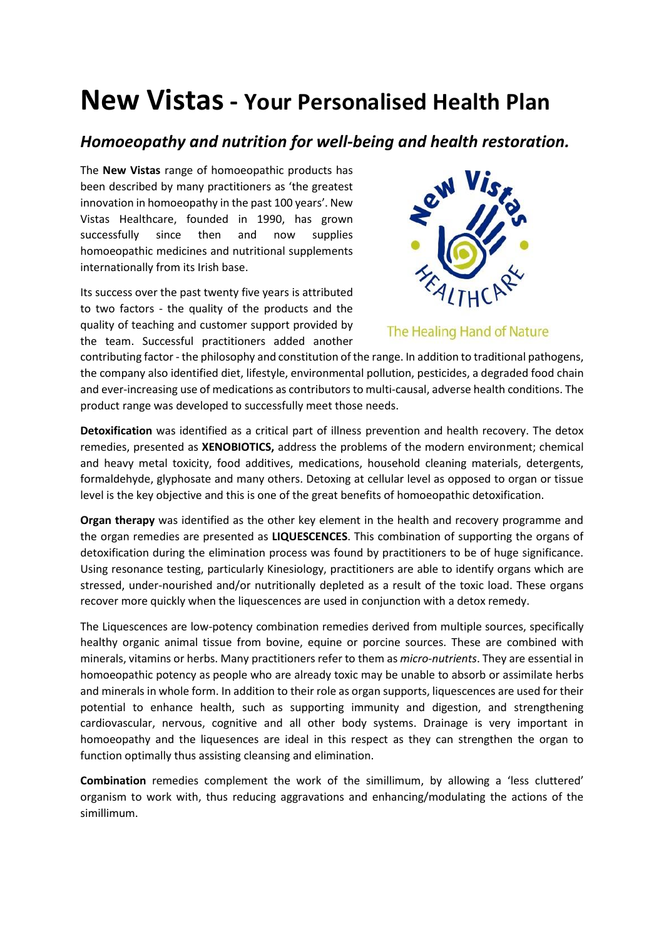## **New Vistas - Your Personalised Health Plan**

## *Homoeopathy and nutrition for well-being and health restoration.*

The **New Vistas** range of homoeopathic products has been described by many practitioners as 'the greatest innovation in homoeopathy in the past 100 years'. New Vistas Healthcare, founded in 1990, has grown successfully since then and now supplies homoeopathic medicines and nutritional supplements internationally from its Irish base.

Its success over the past twenty five years is attributed to two factors - the quality of the products and the quality of teaching and customer support provided by the team. Successful practitioners added another



The Healing Hand of Nature

contributing factor - the philosophy and constitution of the range. In addition to traditional pathogens, the company also identified diet, lifestyle, environmental pollution, pesticides, a degraded food chain and ever-increasing use of medications as contributors to multi-causal, adverse health conditions. The product range was developed to successfully meet those needs.

**Detoxification** was identified as a critical part of illness prevention and health recovery. The detox remedies, presented as **XENOBIOTICS,** address the problems of the modern environment; chemical and heavy metal toxicity, food additives, medications, household cleaning materials, detergents, formaldehyde, glyphosate and many others. Detoxing at cellular level as opposed to organ or tissue level is the key objective and this is one of the great benefits of homoeopathic detoxification.

**Organ therapy** was identified as the other key element in the health and recovery programme and the organ remedies are presented as **LIQUESCENCES**. This combination of supporting the organs of detoxification during the elimination process was found by practitioners to be of huge significance. Using resonance testing, particularly Kinesiology, practitioners are able to identify organs which are stressed, under-nourished and/or nutritionally depleted as a result of the toxic load. These organs recover more quickly when the liquescences are used in conjunction with a detox remedy.

The Liquescences are low-potency combination remedies derived from multiple sources, specifically healthy organic animal tissue from bovine, equine or porcine sources. These are combined with minerals, vitamins or herbs. Many practitioners refer to them as *micro-nutrients*. They are essential in homoeopathic potency as people who are already toxic may be unable to absorb or assimilate herbs and minerals in whole form. In addition to their role as organ supports, liquescences are used for their potential to enhance health, such as supporting immunity and digestion, and strengthening cardiovascular, nervous, cognitive and all other body systems. Drainage is very important in homoeopathy and the liquesences are ideal in this respect as they can strengthen the organ to function optimally thus assisting cleansing and elimination.

**Combination** remedies complement the work of the simillimum, by allowing a 'less cluttered' organism to work with, thus reducing aggravations and enhancing/modulating the actions of the simillimum.